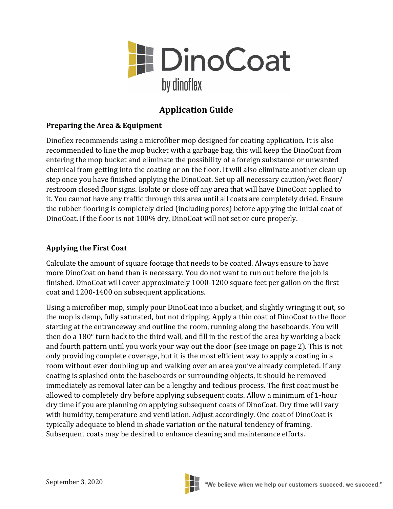

## **Application Guide**

## **Preparing the Area & Equipment**

Dinoflex recommends using a microfiber mop designed for coating application. It is also recommended to line the mop bucket with a garbage bag, this will keep the DinoCoat from entering the mop bucket and eliminate the possibility of a foreign substance or unwanted chemical from getting into the coating or on the floor. It will also eliminate another clean up step once you have finished applying the DinoCoat. Set up all necessary caution/wet floor/ restroom closed floor signs. Isolate or close off any area that will have DinoCoat applied to it. You cannot have any traffic through this area until all coats are completely dried. Ensure the rubber flooring is completely dried (including pores) before applying the initial coat of DinoCoat. If the floor is not 100% dry, DinoCoat will not set or cure properly.

## **Applying the First Coat**

Calculate the amount of square footage that needs to be coated. Always ensure to have more DinoCoat on hand than is necessary. You do not want to run out before the job is finished. DinoCoat will cover approximately 1000-1200 square feet per gallon on the first coat and 1200-1400 on subsequent applications.

Using a microfiber mop, simply pour DinoCoat into a bucket, and slightly wringing it out, so the mop is damp, fully saturated, but not dripping. Apply a thin coat of DinoCoat to the floor starting at the entranceway and outline the room, running along the baseboards. You will then do a 180° turn back to the third wall, and fill in the rest of the area by working a back and fourth pattern until you work your way out the door (see image on page 2). This is not only providing complete coverage, but it is the most efficient way to apply a coating in a room without ever doubling up and walking over an area you've already completed. If any coating is splashed onto the baseboards or surrounding objects, it should be removed immediately as removal later can be a lengthy and tedious process. The first coat must be allowed to completely dry before applying subsequent coats. Allow a minimum of 1-hour dry time if you are planning on applying subsequent coats of DinoCoat. Dry time will vary with humidity, temperature and ventilation. Adjust accordingly. One coat of DinoCoat is typically adequate to blend in shade variation or the natural tendency of framing. Subsequent coats may be desired to enhance cleaning and maintenance efforts.